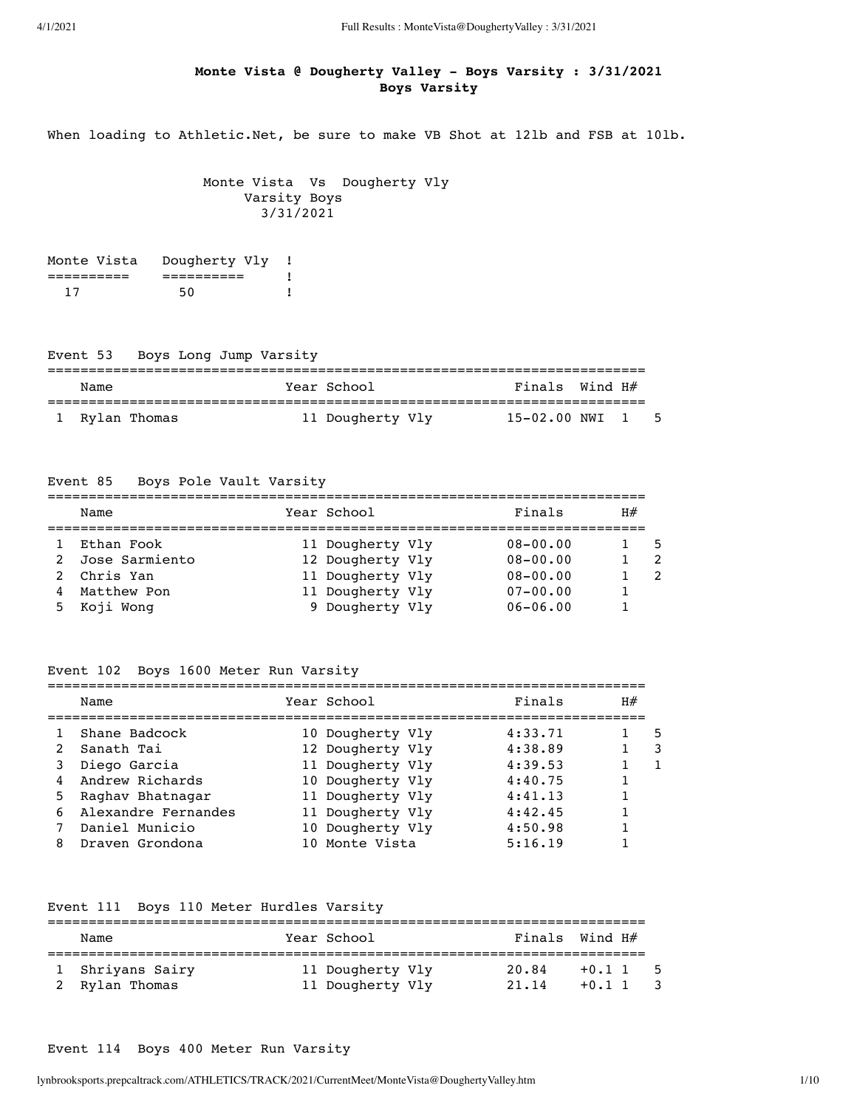# **Monte Vista @ Dougherty Valley - Boys Varsity : 3/31/2021 Boys Varsity**

When loading to Athletic.Net, be sure to make VB Shot at 121b and FSB at 101b.

 Monte Vista Vs Dougherty Vly Varsity Boys 3/31/2021

| Monte Vista | Dougherty Vly |  |
|-------------|---------------|--|
|             |               |  |
|             | 50            |  |

# Event 53 Boys Long Jump Varsity

| Name           | Year School      | Finals Wind H#       |  |  |  |  |
|----------------|------------------|----------------------|--|--|--|--|
| 1 Rylan Thomas | 11 Dougherty Vly | $15-02.00$ NWI $1$ 5 |  |  |  |  |

# Event 85 Boys Pole Vault Varsity

|   | Name             | Year School      | Finals       | H# |     |
|---|------------------|------------------|--------------|----|-----|
|   | Ethan Fook       | 11 Dougherty Vly | $08 - 00.00$ |    | - 5 |
|   | 2 Jose Sarmiento | 12 Dougherty Vly | $08 - 00.00$ |    |     |
|   | 2 Chris Yan      | 11 Dougherty Vly | $08 - 00.00$ |    |     |
| 4 | Matthew Pon      | 11 Dougherty Vly | $07 - 00.00$ |    |     |
|   | 5 Koji Wong      | 9 Dougherty Vly  | $06 - 06.00$ |    |     |

#### Event 102 Boys 1600 Meter Run Varsity

|   | Name                | Year School      | Finals  | H# |   |
|---|---------------------|------------------|---------|----|---|
|   | Shane Badcock       | 10 Dougherty Vly | 4:33.71 |    | 5 |
|   | Sanath Tai          | 12 Dougherty Vly | 4:38.89 |    |   |
| 3 | Diego Garcia        | 11 Dougherty Vly | 4:39.53 |    |   |
| 4 | Andrew Richards     | 10 Dougherty Vly | 4:40.75 |    |   |
| 5 | Raghay Bhatnagar    | 11 Dougherty Vly | 4:41.13 |    |   |
| 6 | Alexandre Fernandes | 11 Dougherty Vly | 4:42.45 |    |   |
|   | Daniel Municio      | 10 Dougherty Vly | 4:50.98 |    |   |
| 8 | Draven Grondona     | 10 Monte Vista   | 5:16.19 |    |   |

# Event 111 Boys 110 Meter Hurdles Varsity

| Name                               | Year School                          | Finals Wind $H#$ |                      |  |
|------------------------------------|--------------------------------------|------------------|----------------------|--|
| 1 Shriyans Sairy<br>2 Rylan Thomas | 11 Dougherty Vly<br>11 Dougherty Vly | 20.84<br>21.14   | $+0.1$ 1<br>$+0.1$ 1 |  |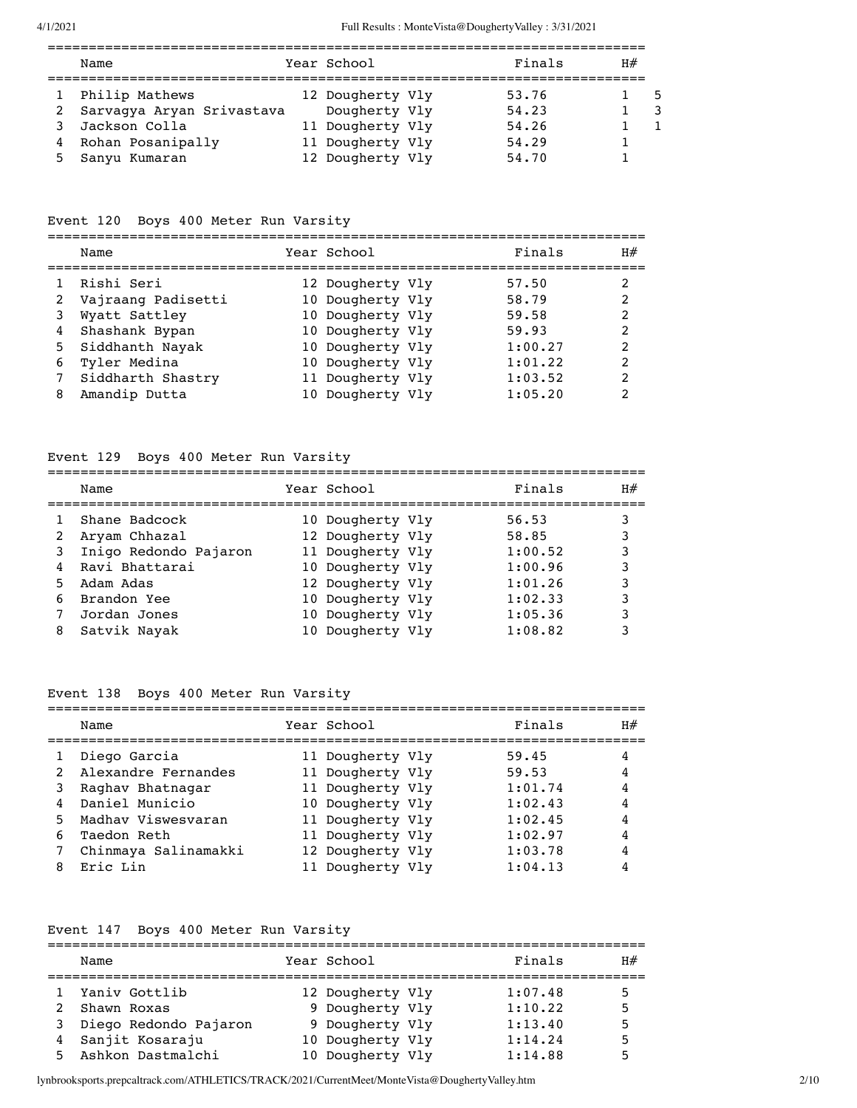|    | Name                        | Year School      | Finals | H# |  |
|----|-----------------------------|------------------|--------|----|--|
|    | Philip Mathews              | 12 Dougherty Vly | 53.76  |    |  |
|    | 2 Sarvaqya Aryan Srivastava | Dougherty Vly    | 54.23  |    |  |
|    | 3 Jackson Colla             | 11 Dougherty Vly | 54.26  |    |  |
|    | 4 Rohan Posanipally         | 11 Dougherty Vly | 54.29  |    |  |
| 5. | Sanyu Kumaran               | 12 Dougherty Vly | 54.70  |    |  |

# Event 120 Boys 400 Meter Run Varsity

|      |      |                  | ___         |
|------|------|------------------|-------------|
| Name | Year | 77 A D<br>ກລ<br> | $- -$<br>日开 |
|      |      |                  |             |

|   | 1 Rishi Seri         | 12 Dougherty Vly | 57.50   |                |
|---|----------------------|------------------|---------|----------------|
|   | 2 Vajraang Padisetti | 10 Dougherty Vly | 58.79   | $\overline{2}$ |
|   | 3 Wyatt Sattley      | 10 Dougherty Vly | 59.58   | $\overline{2}$ |
|   | 4 Shashank Bypan     | 10 Dougherty Vly | 59.93   | $\overline{2}$ |
|   | 5 Siddhanth Nayak    | 10 Dougherty Vly | 1:00.27 | $\mathcal{L}$  |
|   | 6 Tyler Medina       | 10 Dougherty Vly | 1:01.22 | $\mathcal{L}$  |
|   | 7 Siddharth Shastry  | 11 Dougherty Vly | 1:03.52 | $\overline{2}$ |
| 8 | Amandip Dutta        | 10 Dougherty Vly | 1:05.20 |                |
|   |                      |                  |         |                |

# Event 129 Boys 400 Meter Run Varsity

|    | Name                    | Year School      | Finals  | H# |
|----|-------------------------|------------------|---------|----|
|    | Shane Badcock           | 10 Dougherty Vly | 56.53   |    |
|    | Aryam Chhazal           | 12 Dougherty Vly | 58.85   |    |
|    | 3 Inigo Redondo Pajaron | 11 Dougherty Vly | 1:00.52 | 3  |
|    | Ravi Bhattarai          | 10 Dougherty Vly | 1:00.96 | 3  |
| 5. | Adam Adas               | 12 Dougherty Vly | 1:01.26 | 3  |
| 6  | Brandon Yee             | 10 Dougherty Vly | 1:02.33 | 3  |
|    | Jordan Jones            | 10 Dougherty Vly | 1:05.36 |    |
| 8  | Satvik Nayak            | 10 Dougherty Vly | 1:08.82 |    |

# Event 138 Boys 400 Meter Run Varsity

|    | Name                  | Year School      | Finals  | H# |
|----|-----------------------|------------------|---------|----|
|    | Diego Garcia          | 11 Dougherty Vly | 59.45   |    |
|    | 2 Alexandre Fernandes | 11 Dougherty Vly | 59.53   | 4  |
| 3  | Raghav Bhatnagar      | 11 Dougherty Vly | 1:01.74 | 4  |
|    | 4 Daniel Municio      | 10 Dougherty Vly | 1:02.43 | 4  |
|    | 5 Madhav Viswesvaran  | 11 Dougherty Vly | 1:02.45 | 4  |
| 6. | Taedon Reth           | 11 Dougherty Vly | 1:02.97 | 4  |
|    | Chinmaya Salinamakki  | 12 Dougherty Vly | 1:03.78 | 4  |
| 8  | Eric Lin              | 11 Dougherty Vly | 1:04.13 | 4  |
|    |                       |                  |         |    |

# Event 147 Boys 400 Meter Run Varsity

|    | Name                    | Year School      | Finals  | H# |
|----|-------------------------|------------------|---------|----|
|    | 1 Yaniv Gottlib         | 12 Dougherty Vly | 1:07.48 | 5  |
| 2  | Shawn Roxas             | 9 Dougherty Vly  | 1:10.22 | 5  |
|    | 3 Diego Redondo Pajaron | 9 Dougherty Vly  | 1:13.40 | 5  |
|    | 4 Sanjit Kosaraju       | 10 Dougherty Vly | 1:14.24 | 5  |
| 5. | Ashkon Dastmalchi       | 10 Dougherty Vly | 1:14.88 | 5  |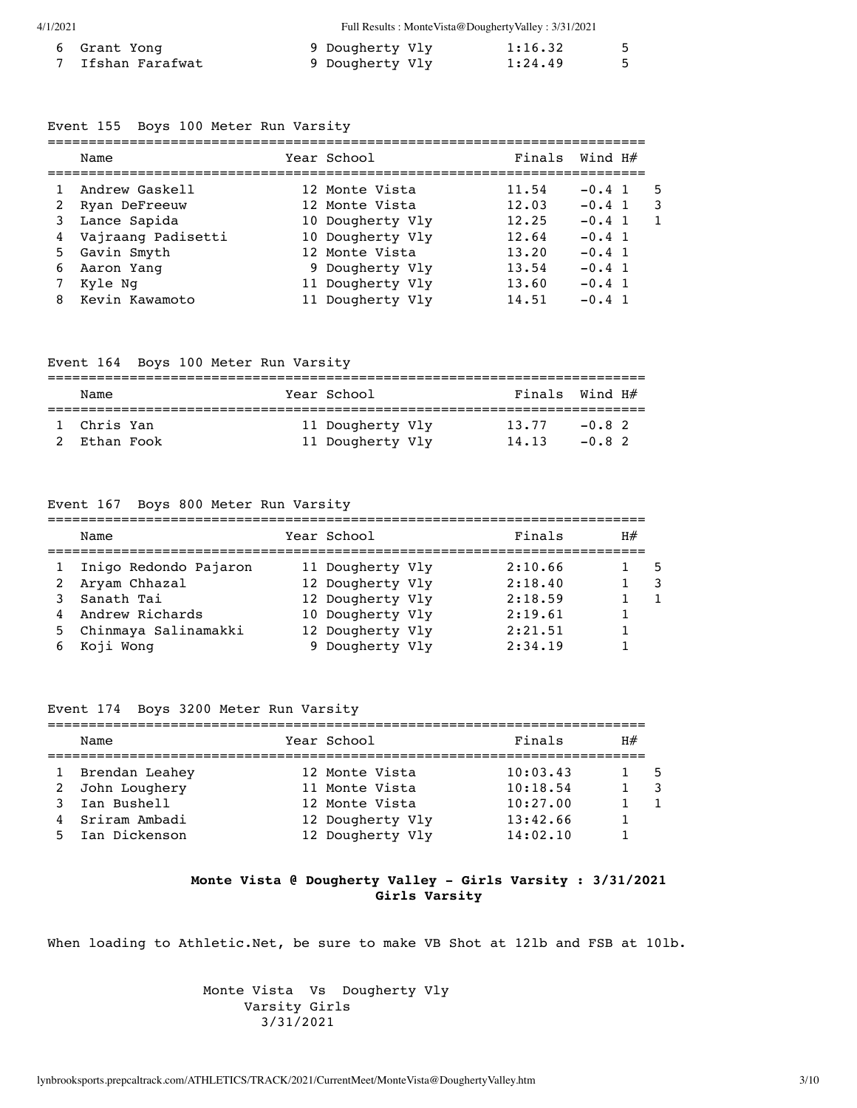| 6 Grant Yong    | 9 Dougherty Vly | 1:16.32 | - 5 |
|-----------------|-----------------|---------|-----|
| Ifshan Farafwat | 9 Dougherty Vly | 1:24.49 |     |

#### Event 155 Boys 100 Meter Run Varsity

|   | Name                 | Year School      | Finals Wind $H#$ |             |   |
|---|----------------------|------------------|------------------|-------------|---|
|   | Andrew Gaskell       | 12 Monte Vista   | 11.54            | $-0.4$ 1    | 5 |
| 2 | Ryan DeFreeuw        | 12 Monte Vista   | 12.03            | $-0.4 \; 1$ |   |
|   | 3 Lance Sapida       | 10 Dougherty Vly | 12.25            | $-0.4 \; 1$ |   |
|   | 4 Vajraang Padisetti | 10 Dougherty Vly | 12.64            | $-0.4 \; 1$ |   |
|   | 5 Gavin Smyth        | 12 Monte Vista   | 13.20            | $-0.4 \; 1$ |   |
| 6 | Aaron Yang           | 9 Dougherty Vly  | 13.54            | $-0.4 \; 1$ |   |
|   | Kyle Ng              | 11 Dougherty Vly | 13.60            | $-0.4 \; 1$ |   |
|   | Kevin Kawamoto       | 11 Dougherty Vly | 14.51            | $-0.4$ 1    |   |

#### Event 164 Boys 100 Meter Run Varsity

| Name        |  | Year School      | Finals Wind H# |         |  |  |  |  |
|-------------|--|------------------|----------------|---------|--|--|--|--|
| 1 Chris Yan |  | 11 Dougherty Vly | 13.77          | $-0.82$ |  |  |  |  |
| Ethan Fook  |  | 11 Dougherty Vly | 14, 13         | $-0.82$ |  |  |  |  |

#### Event 167 Boys 800 Meter Run Varsity

| Name                   | Year School      | Finals  | H#  |
|------------------------|------------------|---------|-----|
| Inigo Redondo Pajaron  | 11 Dougherty Vly | 2:10.66 | . 5 |
| 2 Aryam Chhazal        | 12 Dougherty Vly | 2:18.40 |     |
| 3 Sanath Tai           | 12 Dougherty Vly | 2:18.59 |     |
| 4 Andrew Richards      | 10 Dougherty Vly | 2:19.61 |     |
| 5 Chinmaya Salinamakki | 12 Dougherty Vly | 2:21.51 |     |
| Koji Wong              | 9 Dougherty Vly  | 2:34.19 |     |

## Event 174 Boys 3200 Meter Run Varsity

|   | Name             |  | Year School      | Finals   | H# |     |  |  |
|---|------------------|--|------------------|----------|----|-----|--|--|
|   | 1 Brendan Leahey |  | 12 Monte Vista   | 10:03.43 |    | - 5 |  |  |
|   | 2 John Loughery  |  | 11 Monte Vista   | 10:18.54 |    |     |  |  |
| 3 | Ian Bushell      |  | 12 Monte Vista   | 10:27.00 |    |     |  |  |
|   | 4 Sriram Ambadi  |  | 12 Dougherty Vly | 13:42.66 |    |     |  |  |
|   | 5 Ian Dickenson  |  | 12 Dougherty Vly | 14:02.10 |    |     |  |  |

## **Monte Vista @ Dougherty Valley - Girls Varsity : 3/31/2021 Girls Varsity**

When loading to Athletic.Net, be sure to make VB Shot at 121b and FSB at 101b.

 Monte Vista Vs Dougherty Vly Varsity Girls 3/31/2021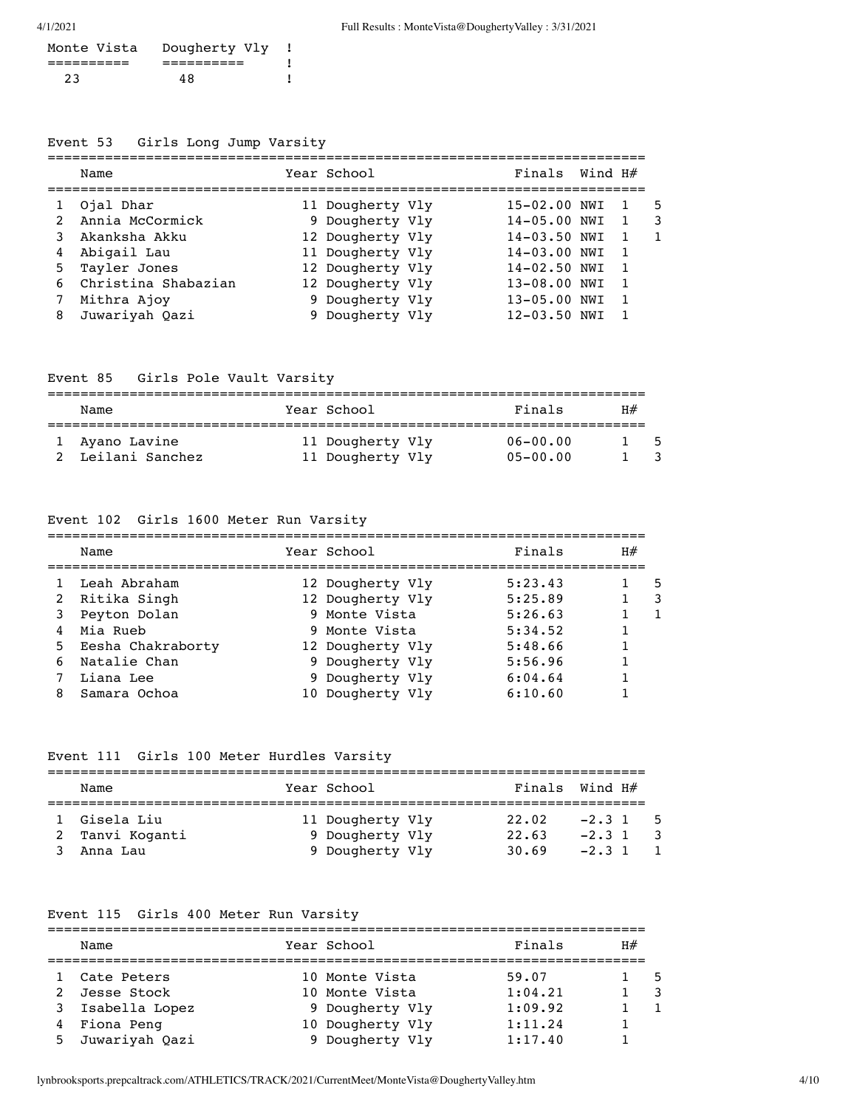| Monte Vista | Dougherty Vly |  |
|-------------|---------------|--|
|             |               |  |
| 23          | 48            |  |

# Event 53 Girls Long Jump Varsity

|   | Name                  | Year School      | Finals Wind $H#$ |  |   |
|---|-----------------------|------------------|------------------|--|---|
|   | 1 Ojal Dhar           | 11 Dougherty Vly | 15-02.00 NWI     |  | 5 |
|   | 2 Annia McCormick     | 9 Dougherty Vly  | $14 - 05.00$ NWI |  | 3 |
| 3 | Akanksha Akku         | 12 Dougherty Vly | 14-03.50 NWI     |  |   |
|   | 4 Abigail Lau         | 11 Dougherty Vly | 14-03.00 NWI     |  |   |
|   | 5 Tayler Jones        | 12 Dougherty Vly | $14 - 02.50$ NWI |  |   |
|   | 6 Christina Shabazian | 12 Dougherty Vly | 13-08.00 NWI     |  |   |
|   | Mithra Ajoy           | 9 Dougherty Vly  | 13-05.00 NWI     |  |   |
| 8 | Juwariyah Oazi        | 9 Dougherty Vly  | 12-03.50 NWI     |  |   |

Event 85 Girls Pole Vault Varsity

| Name                              | Year School                          | Finals                       | H# |  |
|-----------------------------------|--------------------------------------|------------------------------|----|--|
| 1 Ayano Lavine<br>Leilani Sanchez | 11 Dougherty Vly<br>11 Dougherty Vly | $06 - 00.00$<br>$05 - 00.00$ |    |  |

# Event 102 Girls 1600 Meter Run Varsity

|   | Name                | Year School      | Finals  | H# |   |
|---|---------------------|------------------|---------|----|---|
|   | Leah Abraham        | 12 Dougherty Vly | 5:23.43 |    | 5 |
|   | 2 Ritika Singh      | 12 Dougherty Vly | 5:25.89 |    |   |
| 3 | Peyton Dolan        | 9 Monte Vista    | 5:26.63 |    |   |
| 4 | Mia Rueb            | 9 Monte Vista    | 5:34.52 |    |   |
|   | 5 Eesha Chakraborty | 12 Dougherty Vly | 5:48.66 |    |   |
|   | 6 Natalie Chan      | 9 Dougherty Vly  | 5:56.96 |    |   |
|   | Liana Lee           | 9 Dougherty Vly  | 6:04.64 |    |   |
| 8 | Samara Ochoa        | 10 Dougherty Vly | 6:10.60 |    |   |

# Event 111 Girls 100 Meter Hurdles Varsity

| Name                            | Year School                         | Finals Wind $H#$ |                        |  |
|---------------------------------|-------------------------------------|------------------|------------------------|--|
| 1 Gisela Liu<br>2 Tanvi Koganti | 11 Dougherty Vly<br>9 Dougherty Vly | 22.02<br>22.63   | $-2.3$ 1 5<br>$-2.3$ 1 |  |
| Anna Lau                        | 9 Dougherty Vly                     | 30.69            | $-2.3$ 1               |  |

# Event 115 Girls 400 Meter Run Varsity

| Name             | Year School      | Finals  | H# |     |
|------------------|------------------|---------|----|-----|
| Cate Peters      | 10 Monte Vista   | 59.07   |    | - 5 |
| 2 Jesse Stock    | 10 Monte Vista   | 1:04.21 |    |     |
| 3 Isabella Lopez | 9 Dougherty Vly  | 1:09.92 |    |     |
| 4 Fiona Peng     | 10 Dougherty Vly | 1:11.24 |    |     |
| 5 Juwariyah Oazi | 9 Dougherty Vly  | 1:17.40 |    |     |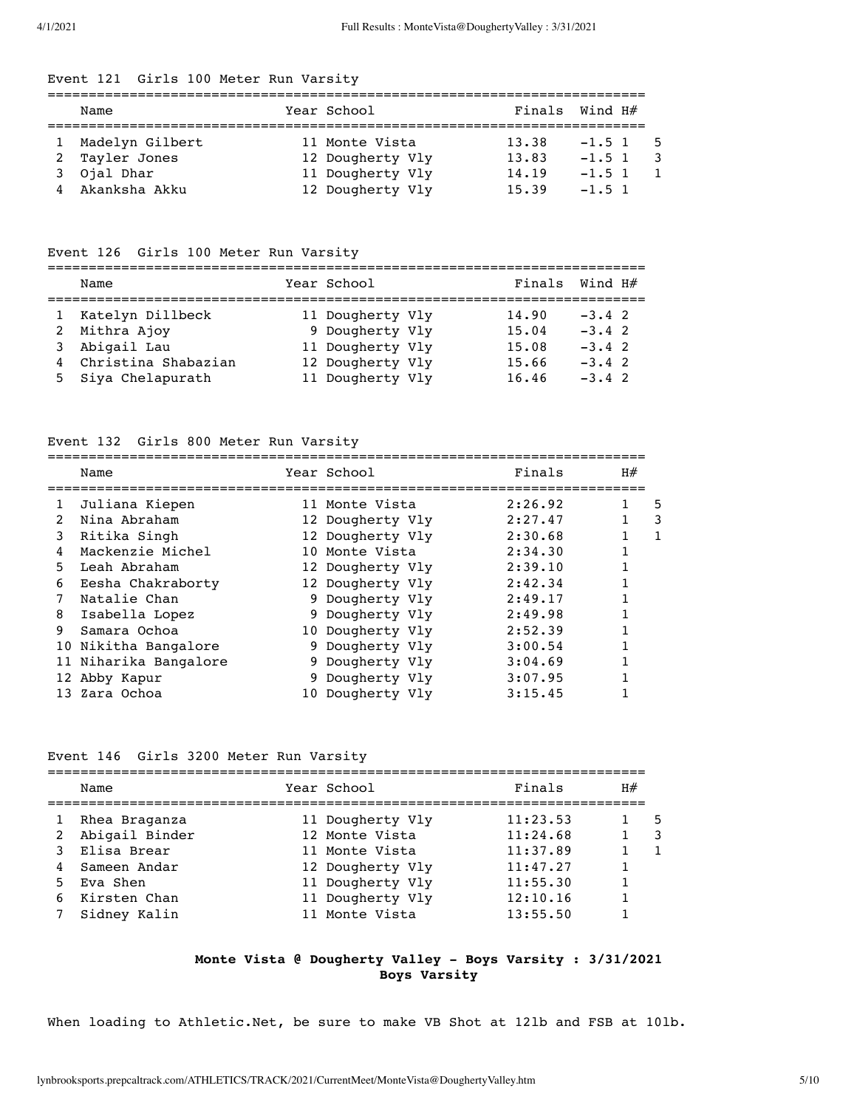# Event 121 Girls 100 Meter Run Varsity

| Name              | Year School      | Finals Wind $H#$ |            |  |
|-------------------|------------------|------------------|------------|--|
| 1 Madelyn Gilbert | 11 Monte Vista   | 13.38            | $-1.5$ 1 5 |  |
| 2 Tayler Jones    | 12 Dougherty Vly | 13.83            | $-1.5$ 1   |  |
| 3 Ojal Dhar       | 11 Dougherty Vly | 14,19            | $-1.5$ 1   |  |
| 4 Akanksha Akku   | 12 Dougherty Vly | 15.39            | $-1.5$ 1   |  |

# Event 126 Girls 100 Meter Run Varsity

=========================================================================

| Name                  | Year School      |       | Finals Wind $H#$ |
|-----------------------|------------------|-------|------------------|
| 1 Katelyn Dillbeck    | 11 Dougherty Vly | 14.90 | $-3.4$ 2         |
| 2 Mithra Ajoy         | 9 Dougherty Vly  | 15.04 | $-3.4$ 2         |
| 3 Abigail Lau         | 11 Dougherty Vly | 15.08 | $-3.4$ 2         |
| 4 Christina Shabazian | 12 Dougherty Vly | 15.66 | $-3.4$ 2         |
| 5 Siya Chelapurath    | 11 Dougherty Vly | 16.46 | $-3.4$ 2         |

# Event 132 Girls 800 Meter Run Varsity

|               | Name                  | Year School      | Finals  | H# |   |
|---------------|-----------------------|------------------|---------|----|---|
| 1             | Juliana Kiepen        | 11 Monte Vista   | 2:26.92 |    | 5 |
| $\mathcal{L}$ | Nina Abraham          | 12 Dougherty Vly | 2:27.47 |    | 3 |
| 3             | Ritika Singh          | 12 Dougherty Vly | 2:30.68 |    |   |
| 4             | Mackenzie Michel      | 10 Monte Vista   | 2:34.30 |    |   |
| 5.            | Leah Abraham          | 12 Dougherty Vly | 2:39.10 |    |   |
| 6             | Eesha Chakraborty     | 12 Dougherty Vly | 2:42.34 |    |   |
|               | Natalie Chan          | 9 Dougherty Vly  | 2:49.17 |    |   |
| 8             | Isabella Lopez        | 9 Dougherty Vly  | 2:49.98 |    |   |
| 9             | Samara Ochoa          | 10 Dougherty Vly | 2:52.39 |    |   |
|               | 10 Nikitha Bangalore  | 9 Dougherty Vly  | 3:00.54 |    |   |
|               | 11 Niharika Bangalore | 9 Dougherty Vly  | 3:04.69 |    |   |
|               | 12 Abby Kapur         | 9 Dougherty Vly  | 3:07.95 |    |   |
|               | 13 Zara Ochoa         | 10 Dougherty Vly | 3:15.45 |    |   |

## Event 146 Girls 3200 Meter Run Varsity

|   | Name           | Year School      | Finals   | H# |    |
|---|----------------|------------------|----------|----|----|
| 1 | Rhea Braganza  | 11 Dougherty Vly | 11:23.53 |    | .5 |
| 2 | Abigail Binder | 12 Monte Vista   | 11:24.68 |    |    |
|   | 3 Elisa Brear  | 11 Monte Vista   | 11:37.89 |    |    |
| 4 | Sameen Andar   | 12 Dougherty Vly | 11:47.27 |    |    |
|   | 5 Eva Shen     | 11 Dougherty Vly | 11:55.30 |    |    |
|   | 6 Kirsten Chan | 11 Dougherty Vly | 12:10.16 |    |    |
|   | Sidney Kalin   | 11 Monte Vista   | 13:55.50 |    |    |
|   |                |                  |          |    |    |

### **Monte Vista @ Dougherty Valley - Boys Varsity : 3/31/2021 Boys Varsity**

When loading to Athletic.Net, be sure to make VB Shot at 121b and FSB at 101b.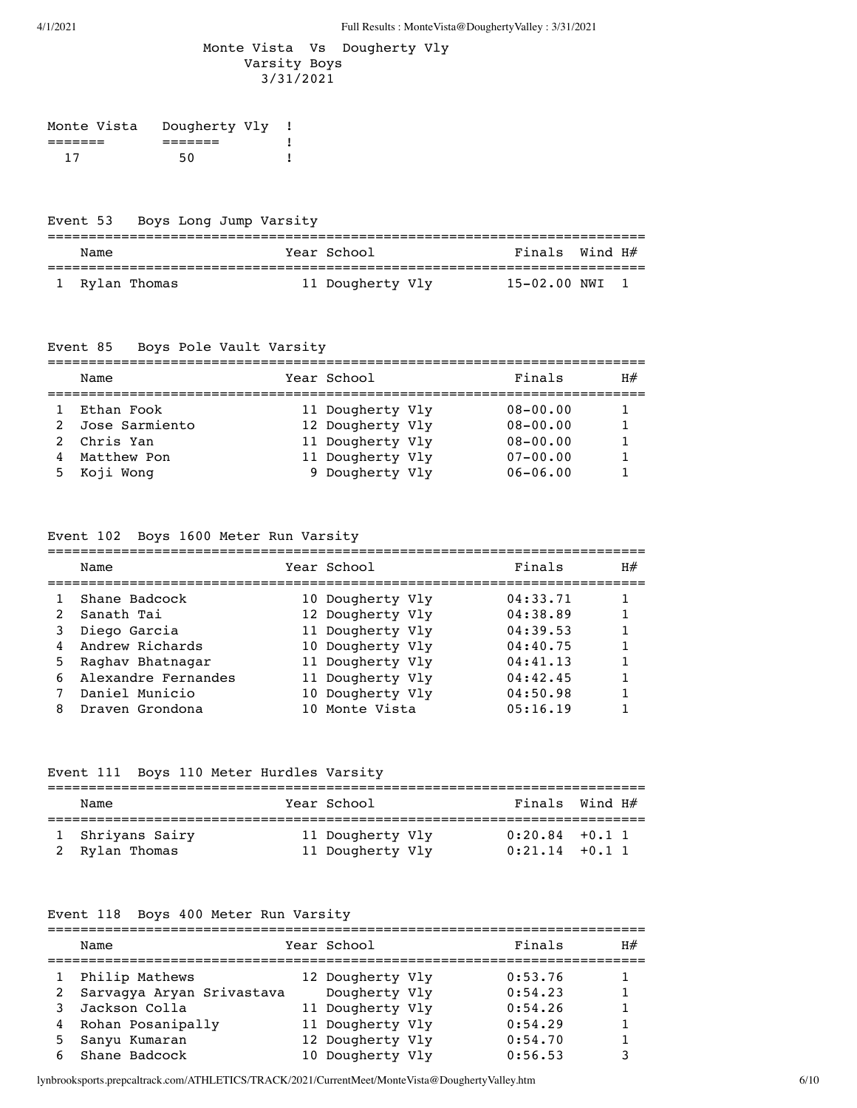## Monte Vista Vs Dougherty Vly Varsity Boys 3/31/2021

| Monte Vista | Dougherty Vly |  |
|-------------|---------------|--|
|             |               |  |
| 17          | 50            |  |

# Event 53 Boys Long Jump Varsity

| Name           | Year School      | Finals Wind H# |  |
|----------------|------------------|----------------|--|
| 1 Rylan Thomas | 11 Dougherty Vly | 15-02.00 NWI   |  |

#### Event 85 Boys Pole Vault Varsity

|   | Name           | Year School      | Finals       | H# |
|---|----------------|------------------|--------------|----|
|   | Ethan Fook     | 11 Dougherty Vly | $08 - 00.00$ |    |
| 2 | Jose Sarmiento | 12 Dougherty Vly | $08 - 00.00$ |    |
|   | 2 Chris Yan    | 11 Dougherty Vly | $08 - 00.00$ |    |
| 4 | Matthew Pon    | 11 Dougherty Vly | $07 - 00.00$ |    |
|   | 5 Koji Wong    | 9 Dougherty Vly  | $06 - 06.00$ |    |

# Event 102 Boys 1600 Meter Run Varsity

|               | Name                  | Year School      | Finals   | H# |
|---------------|-----------------------|------------------|----------|----|
|               | Shane Badcock         | 10 Dougherty Vly | 04:33.71 |    |
| $\mathcal{L}$ | Sanath Tai            | 12 Dougherty Vly | 04:38.89 |    |
| 3             | Diego Garcia          | 11 Dougherty Vly | 04:39.53 |    |
| 4             | Andrew Richards       | 10 Dougherty Vly | 04:40.75 |    |
| 5.            | Raghay Bhatnagar      | 11 Dougherty Vly | 04:41.13 |    |
|               | 6 Alexandre Fernandes | 11 Dougherty Vly | 04:42.45 |    |
|               | Daniel Municio        | 10 Dougherty Vly | 04:50.98 |    |
| 8             | Draven Grondona       | 10 Monte Vista   | 05:16.19 |    |

# Event 111 Boys 110 Meter Hurdles Varsity

| Name                               | Year School                          | Finals Wind $H#$                     |  |
|------------------------------------|--------------------------------------|--------------------------------------|--|
| 1 Shriyans Sairy<br>2 Rylan Thomas | 11 Dougherty Vly<br>11 Dougherty Vly | $0:20.84$ +0.1 1<br>$0:21.14$ +0.1 1 |  |

# Event 118 Boys 400 Meter Run Varsity

| Name                      |  |             | Finals                                                                                                            | H# |
|---------------------------|--|-------------|-------------------------------------------------------------------------------------------------------------------|----|
| Philip Mathews            |  |             | 0:53.76                                                                                                           |    |
| Sarvagya Aryan Srivastava |  |             | 0:54.23                                                                                                           |    |
| Jackson Colla             |  |             | 0:54.26                                                                                                           |    |
| 4 Rohan Posanipally       |  |             | 0:54.29                                                                                                           |    |
| Sanyu Kumaran             |  |             | 0:54.70                                                                                                           |    |
| Shane Badcock             |  |             | 0:56.53                                                                                                           |    |
|                           |  | Year School | 12 Dougherty Vly<br>Dougherty Vly<br>11 Dougherty Vly<br>11 Dougherty Vly<br>12 Dougherty Vly<br>10 Dougherty Vly |    |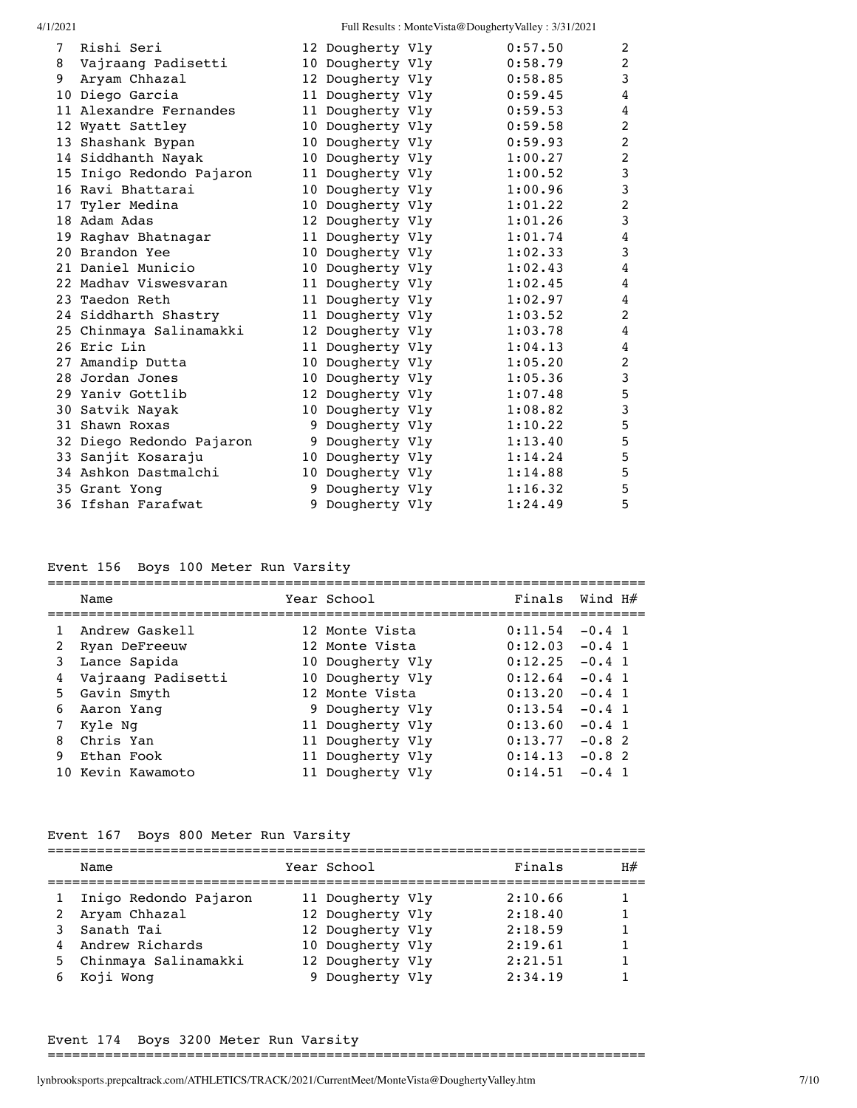| 7 | Rishi Seri               |   | 12 Dougherty Vly | 0:57.50 | 2              |
|---|--------------------------|---|------------------|---------|----------------|
| 8 | Vajraang Padisetti       |   | 10 Dougherty Vly | 0:58.79 | 2              |
| 9 | Aryam Chhazal            |   | 12 Dougherty Vly | 0:58.85 | 3              |
|   | 10 Diego Garcia          |   | 11 Dougherty Vly | 0:59.45 | 4              |
|   | 11 Alexandre Fernandes   |   | 11 Dougherty Vly | 0:59.53 | 4              |
|   | 12 Wyatt Sattley         |   | 10 Dougherty Vly | 0:59.58 | 2              |
|   | 13 Shashank Bypan        |   | 10 Dougherty Vly | 0:59.93 | 2              |
|   | 14 Siddhanth Nayak       |   | 10 Dougherty Vly | 1:00.27 | 2              |
|   | 15 Inigo Redondo Pajaron |   | 11 Dougherty Vly | 1:00.52 | 3              |
|   | 16 Ravi Bhattarai        |   | 10 Dougherty Vly | 1:00.96 | 3              |
|   | 17 Tyler Medina          |   | 10 Dougherty Vly | 1:01.22 | 2              |
|   | 18 Adam Adas             |   | 12 Dougherty Vly | 1:01.26 | $\mathsf 3$    |
|   | 19 Raghav Bhatnagar      |   | 11 Dougherty Vly | 1:01.74 | 4              |
|   | 20 Brandon Yee           |   | 10 Dougherty Vly | 1:02.33 | 3              |
|   | 21 Daniel Municio        |   | 10 Dougherty Vly | 1:02.43 | 4              |
|   | 22 Madhay Viswesvaran    |   | 11 Dougherty Vly | 1:02.45 | 4              |
|   | 23 Taedon Reth           |   | 11 Dougherty Vly | 1:02.97 | 4              |
|   | 24 Siddharth Shastry     |   | 11 Dougherty Vly | 1:03.52 | 2              |
|   | 25 Chinmaya Salinamakki  |   | 12 Dougherty Vly | 1:03.78 | 4              |
|   | 26 Eric Lin              |   | 11 Dougherty Vly | 1:04.13 | 4              |
|   | 27 Amandip Dutta         |   | 10 Dougherty Vly | 1:05.20 | 2              |
|   | 28 Jordan Jones          |   | 10 Dougherty Vly | 1:05.36 | 3              |
|   | 29 Yaniv Gottlib         |   | 12 Dougherty Vly | 1:07.48 | 5              |
|   | 30 Satvik Nayak          |   | 10 Dougherty Vly | 1:08.82 | $\mathsf 3$    |
|   | 31 Shawn Roxas           |   | 9 Dougherty Vly  | 1:10.22 | $\overline{5}$ |
|   | 32 Diego Redondo Pajaron |   | 9 Dougherty Vly  | 1:13.40 | 5              |
|   | 33 Sanjit Kosaraju       |   | 10 Dougherty Vly | 1:14.24 | 5              |
|   | 34 Ashkon Dastmalchi     |   | 10 Dougherty Vly | 1:14.88 | 5              |
|   | 35 Grant Yong            | 9 | Dougherty Vly    | 1:16.32 | 5              |
|   | 36 Ifshan Farafwat       |   | 9 Dougherty Vly  | 1:24.49 | 5              |

# Event 156 Boys 100 Meter Run Varsity

|    | Name               | Year School      | Finals  | Wind H#     |
|----|--------------------|------------------|---------|-------------|
|    | Andrew Gaskell     | 12 Monte Vista   | 0:11.54 | $-0.4$ 1    |
| 2  | Ryan DeFreeuw      | 12 Monte Vista   | 0:12.03 | $-0.4$ 1    |
| 3  | Lance Sapida       | 10 Dougherty Vly | 0:12.25 | $-0.4$ 1    |
| 4  | Vajraang Padisetti | 10 Dougherty Vly | 0:12.64 | $-0.4$ 1    |
| 5. | Gavin Smyth        | 12 Monte Vista   | 0:13.20 | $-0.4 \; 1$ |
| 6  | Aaron Yang         | 9 Dougherty Vly  | 0:13.54 | $-0.4$ 1    |
|    | Kyle Ng            | 11 Dougherty Vly | 0:13.60 | $-0.4$ 1    |
| 8  | Chris Yan          | 11 Dougherty Vly | 0:13.77 | $-0.82$     |
| 9  | Ethan Fook         | 11 Dougherty Vly | 0:14.13 | $-0.82$     |
|    | 10 Kevin Kawamoto  | 11 Dougherty Vly | 0:14.51 | $-0.4$ 1    |

Event 167 Boys 800 Meter Run Varsity

|   | Name                   | Year School      | Finals  | H# |
|---|------------------------|------------------|---------|----|
|   | Inigo Redondo Pajaron  | 11 Dougherty Vly | 2:10.66 |    |
| 2 | Aryam Chhazal          | 12 Dougherty Vly | 2:18.40 |    |
|   | Sanath Tai             | 12 Dougherty Vly | 2:18.59 |    |
|   | Andrew Richards        | 10 Dougherty Vly | 2:19.61 |    |
|   | 5 Chinmaya Salinamakki | 12 Dougherty Vly | 2:21.51 |    |
|   | Koji Wong              | 9 Dougherty Vly  | 2:34.19 |    |

# Event 174 Boys 3200 Meter Run Varsity

=========================================================================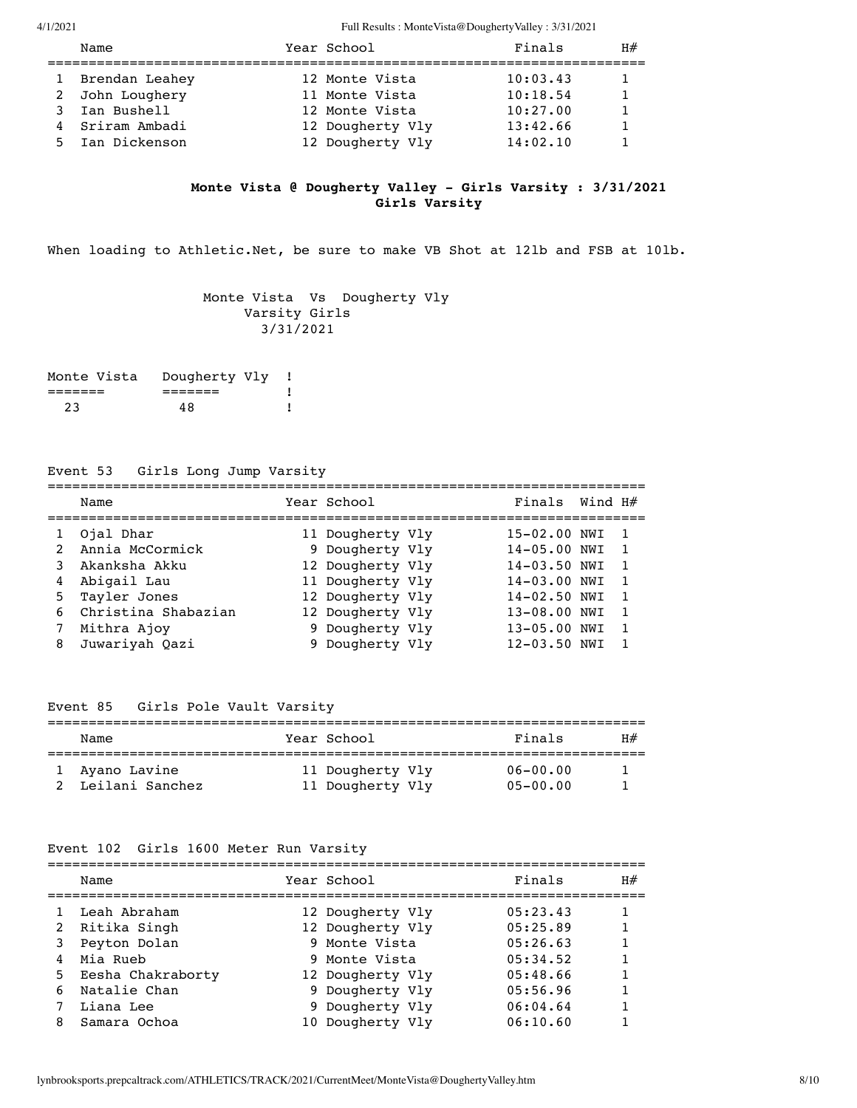| Name |                                                                                            | Finals                                                                                                    | H# |
|------|--------------------------------------------------------------------------------------------|-----------------------------------------------------------------------------------------------------------|----|
|      |                                                                                            | 10:03.43                                                                                                  |    |
|      |                                                                                            | 10:18.54                                                                                                  |    |
|      |                                                                                            | 10:27.00                                                                                                  |    |
|      |                                                                                            | 13:42.66                                                                                                  |    |
|      |                                                                                            | 14:02.10                                                                                                  |    |
|      | 1 Brendan Leahey<br>2 John Loughery<br>3 Ian Bushell<br>4 Sriram Ambadi<br>5 Ian Dickenson | Year School<br>12 Monte Vista<br>11 Monte Vista<br>12 Monte Vista<br>12 Dougherty Vly<br>12 Dougherty Vly |    |

# **Monte Vista @ Dougherty Valley - Girls Varsity : 3/31/2021 Girls Varsity**

When loading to Athletic.Net, be sure to make VB Shot at 121b and FSB at 101b.

 Monte Vista Vs Dougherty Vly Varsity Girls 3/31/2021

| Monte Vista | Dougherty Vly |  |
|-------------|---------------|--|
|             |               |  |
| 23          | 48            |  |

# Event 53 Girls Long Jump Varsity

|   | Name                  | Year School      | Finals Wind $H#$ |                |
|---|-----------------------|------------------|------------------|----------------|
|   | Ojal Dhar             | 11 Dougherty Vly | 15-02.00 NWI     | $\overline{1}$ |
|   | 2 Annia McCormick     | 9 Dougherty Vly  | 14-05.00 NWI     | $\overline{1}$ |
|   | Akanksha Akku         | 12 Dougherty Vly | 14-03.50 NWI     | $\overline{1}$ |
|   | 4 Abigail Lau         | 11 Dougherty Vly | $14 - 03.00$ NWI | $\overline{1}$ |
|   | 5 Tayler Jones        | 12 Dougherty Vly | 14-02.50 NWI     | -1             |
|   | 6 Christina Shabazian | 12 Dougherty Vly | 13-08.00 NWI     | $\overline{1}$ |
| 7 | Mithra Ajoy           | 9 Dougherty Vly  | 13-05.00 NWI     | $\overline{1}$ |
|   | 8 Juwariyah Oazi      | 9 Dougherty Vly  | $12 - 03.50$ NWI |                |

# Event 85 Girls Pole Vault Varsity

| Name              |  | Year School      | Finals       | H# |  |  |  |  |
|-------------------|--|------------------|--------------|----|--|--|--|--|
| 1 Ayano Lavine    |  | 11 Dougherty Vly | $06 - 00.00$ |    |  |  |  |  |
| 2 Leilani Sanchez |  | 11 Dougherty Vly | $05 - 00.00$ |    |  |  |  |  |

#### Event 102 Girls 1600 Meter Run Varsity

|   | Name                | Year School      | Finals   | H# |
|---|---------------------|------------------|----------|----|
|   | Leah Abraham        | 12 Dougherty Vly | 05:23.43 |    |
|   | 2 Ritika Singh      | 12 Dougherty Vly | 05:25.89 |    |
| 3 | Peyton Dolan        | 9 Monte Vista    | 05:26.63 |    |
| 4 | Mia Rueb            | 9 Monte Vista    | 05:34.52 |    |
|   | 5 Eesha Chakraborty | 12 Dougherty Vly | 05:48.66 |    |
|   | 6 Natalie Chan      | 9 Dougherty Vly  | 05:56.96 |    |
|   | Liana Lee           | 9 Dougherty Vly  | 06:04.64 |    |
| 8 | Samara Ochoa        | 10 Dougherty Vly | 06:10.60 |    |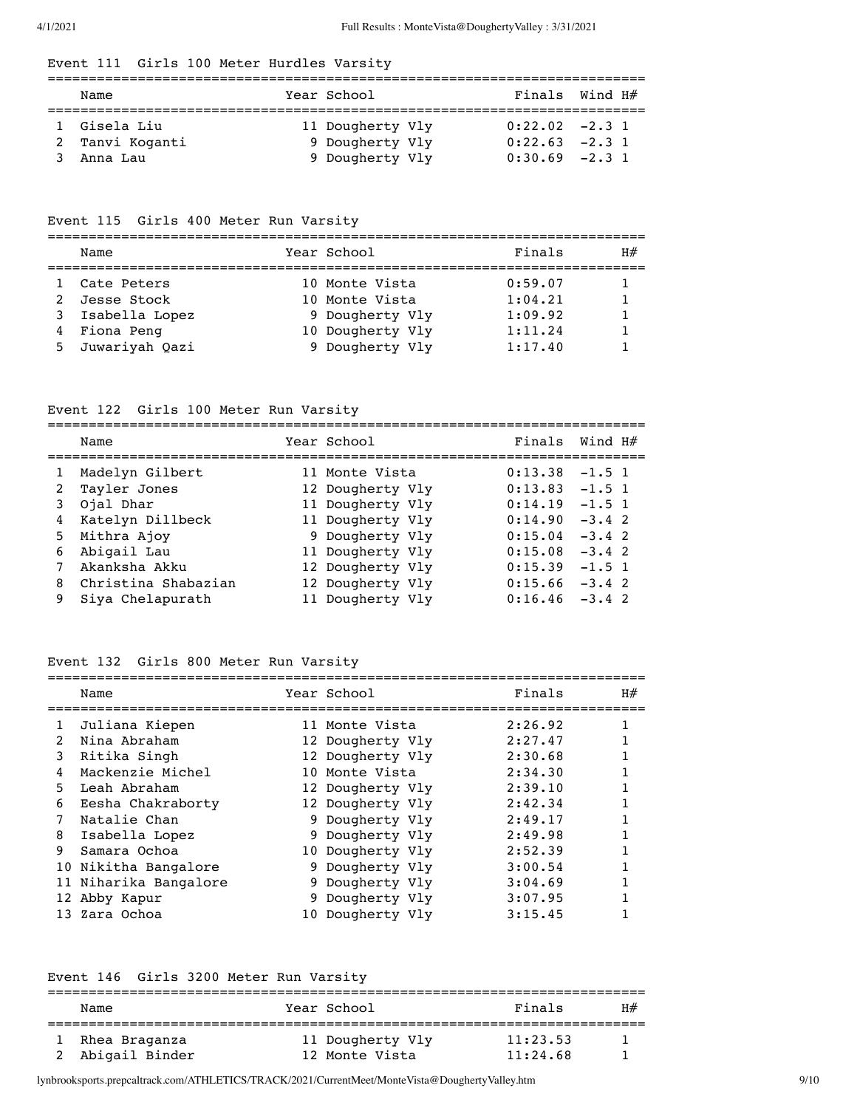# Event 111 Girls 100 Meter Hurdles Varsity

| Name            |  | Year School      | Finals Wind $H#$  |  |  |  |  |  |
|-----------------|--|------------------|-------------------|--|--|--|--|--|
| 1 Gisela Liu    |  | 11 Dougherty Vly | $0:22.02 -2.3$ 1  |  |  |  |  |  |
| 2 Tanvi Koganti |  | 9 Dougherty Vly  | $0:22.63$ $-2.31$ |  |  |  |  |  |
| Anna Lau        |  | 9 Dougherty Vly  | $0:30.69$ $-2.31$ |  |  |  |  |  |

# Event 115 Girls 400 Meter Run Varsity

| Name                   | Year School              | Finals  | H# |
|------------------------|--------------------------|---------|----|
| 1 Cate Peters          | 10 Monte Vista           | 0:59.07 |    |
| $2 \cdot 70000$ $C+00$ | $10$ Monto $U_{1}$ $0+2$ | 1.01.21 |    |

| 2 Jesse Stock    | 10 Monte Vista   | 1:04.21 |   |
|------------------|------------------|---------|---|
| 3 Isabella Lopez | 9 Dougherty Vly  | 1:09.92 | 1 |
| 4 Fiona Peng     | 10 Dougherty Vly | 1:11.24 |   |
| 5 Juwariyah Qazi | 9 Dougherty Vly  | 1:17.40 |   |

# Event 122 Girls 100 Meter Run Varsity

|   | Name                | Year School      | Finals  | Wind H#  |
|---|---------------------|------------------|---------|----------|
|   | Madelyn Gilbert     | 11 Monte Vista   | 0:13.38 | $-1.5$ 1 |
| 2 | Tayler Jones        | 12 Dougherty Vly | 0:13.83 | $-1.5$ 1 |
| 3 | Ojal Dhar           | 11 Dougherty Vly | 0:14.19 | $-1.5$ 1 |
| 4 | Katelyn Dillbeck    | 11 Dougherty Vly | 0:14.90 | $-3.4$ 2 |
|   | 5 Mithra Ajoy       | 9 Dougherty Vly  | 0:15.04 | $-3.4$ 2 |
| 6 | Abigail Lau         | 11 Dougherty Vly | 0:15.08 | $-3.4$ 2 |
|   | Akanksha Akku       | 12 Dougherty Vly | 0:15.39 | $-1.5$ 1 |
| 8 | Christina Shabazian | 12 Dougherty Vly | 0:15.66 | $-3.4$ 2 |
| 9 | Siya Chelapurath    | 11 Dougherty Vly | 0:16.46 | $-3.4$ 2 |

# Event 132 Girls 800 Meter Run Varsity

|    | Name                  |    | Year School      | Finals  | H# |
|----|-----------------------|----|------------------|---------|----|
| 1  | Juliana Kiepen        |    | 11 Monte Vista   | 2:26.92 |    |
| 2  | Nina Abraham          |    | 12 Dougherty Vly | 2:27.47 |    |
| 3  | Ritika Singh          |    | 12 Dougherty Vly | 2:30.68 |    |
| 4  | Mackenzie Michel      |    | 10 Monte Vista   | 2:34.30 |    |
| 5. | Leah Abraham          |    | 12 Dougherty Vly | 2:39.10 |    |
| 6  | Eesha Chakraborty     |    | 12 Dougherty Vly | 2:42.34 |    |
|    | Natalie Chan          |    | 9 Dougherty Vly  | 2:49.17 |    |
| 8  | Isabella Lopez        |    | 9 Dougherty Vly  | 2:49.98 |    |
| 9  | Samara Ochoa          |    | 10 Dougherty Vly | 2:52.39 |    |
|    | 10 Nikitha Bangalore  |    | 9 Dougherty Vly  | 3:00.54 |    |
|    | 11 Niharika Bangalore | 9. | Dougherty Vly    | 3:04.69 |    |
|    | 12 Abby Kapur         | 9. | Dougherty Vly    | 3:07.95 |    |
|    | 13 Zara Ochoa         |    | 10 Dougherty Vly | 3:15.45 |    |
|    |                       |    |                  |         |    |

# Event 146 Girls 3200 Meter Run Varsity

| Name             |  | Year School      | Finals   | H# |  |  |  |
|------------------|--|------------------|----------|----|--|--|--|
|                  |  |                  |          |    |  |  |  |
| 1 Rhea Braganza  |  | 11 Dougherty Vly | 11:23.53 |    |  |  |  |
| 2 Abigail Binder |  | 12 Monte Vista   | 11:24.68 |    |  |  |  |

lynbrooksports.prepcaltrack.com/ATHLETICS/TRACK/2021/CurrentMeet/MonteVista@DoughertyValley.htm 9/10